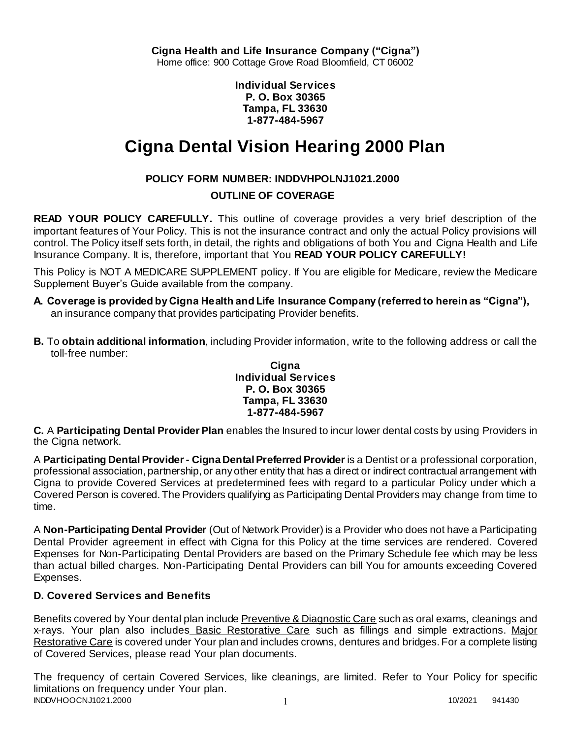**Individual Services P. O. Box 30365 Tampa, FL 33630 1-877-484-5967**

# **Cigna Dental Vision Hearing 2000 Plan**

# **POLICY FORM NUMBER: INDDVHPOLNJ1021.2000**

# **OUTLINE OF COVERAGE**

**READ YOUR POLICY CAREFULLY.** This outline of coverage provides a very brief description of the important features of Your Policy. This is not the insurance contract and only the actual Policy provisions will control. The Policy itself sets forth, in detail, the rights and obligations of both You and Cigna Health and Life Insurance Company. It is, therefore, important that You **READ YOUR POLICY CAREFULLY!** 

This Policy is NOT A MEDICARE SUPPLEMENT policy. If You are eligible for Medicare, review the Medicare Supplement Buyer's Guide available from the company.

- **A. Coverage is provided by Cigna Health and Life Insurance Company (referred to herein as "Cigna"),**  an insurance company that provides participating Provider benefits.
- **B.** To **obtain additional information**, including Provider information, write to the following address or call the toll-free number:

### **Cigna Individual Services P. O. Box 30365 Tampa, FL 33630 1-877-484-5967**

**C.** A **Participating Dental Provider Plan** enables the Insured to incur lower dental costs by using Providers in the Cigna network.

A **Participating Dental Provider - Cigna Dental Preferred Provider** is a Dentist or a professional corporation, professional association, partnership, or any other entity that has a direct or indirect contractual arrangement with Cigna to provide Covered Services at predetermined fees with regard to a particular Policy under which a Covered Person is covered. The Providers qualifying as Participating Dental Providers may change from time to time.

A **Non-Participating Dental Provider** (Out of Network Provider) is a Provider who does not have a Participating Dental Provider agreement in effect with Cigna for this Policy at the time services are rendered. Covered Expenses for Non-Participating Dental Providers are based on the Primary Schedule fee which may be less than actual billed charges. Non-Participating Dental Providers can bill You for amounts exceeding Covered Expenses.

# **D. Covered Services and Benefits**

Benefits covered by Your dental plan include Preventive & Diagnostic Care such as oral exams, cleanings and x-rays. Your plan also includes Basic Restorative Care such as fillings and simple extractions. Major Restorative Care is covered under Your plan and includes crowns, dentures and bridges. For a complete listing of Covered Services, please read Your plan documents.

INDDVHOOCNJ1021.2000 1 2000 1 2000 1 2000 1 2000 1 2000 1 2000 1 2000 1 2000 1 2000 1 2000 1 2000 1 2000 1 200 The frequency of certain Covered Services, like cleanings, are limited. Refer to Your Policy for specific limitations on frequency under Your plan.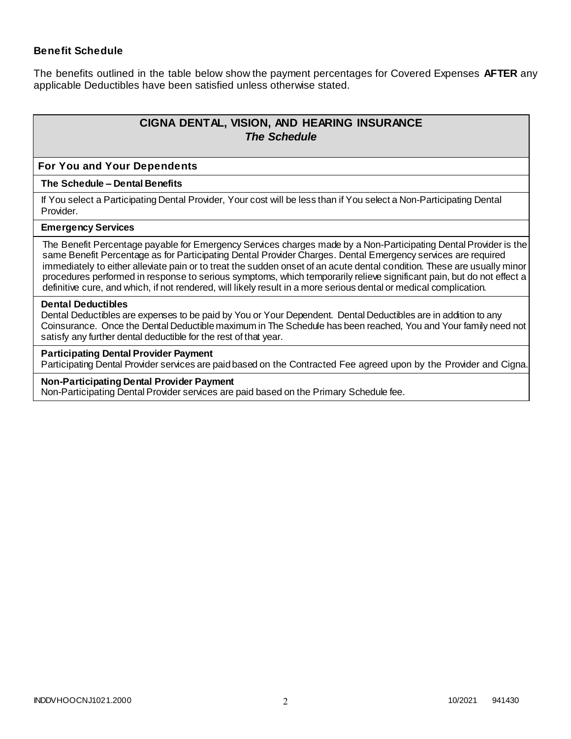### **Benefit Schedule**

The benefits outlined in the table below show the payment percentages for Covered Expenses **AFTER** any applicable Deductibles have been satisfied unless otherwise stated.

# **CIGNA DENTAL, VISION, AND HEARING INSURANCE** *The Schedule*

#### **For You and Your Dependents**

#### **The Schedule – Dental Benefits**

If You select a Participating Dental Provider, Your cost will be less than if You select a Non-Participating Dental Provider.

#### **Emergency Services**

The Benefit Percentage payable for Emergency Services charges made by a Non-Participating Dental Provider is the same Benefit Percentage as for Participating Dental Provider Charges. Dental Emergency services are required immediately to either alleviate pain or to treat the sudden onset of an acute dental condition. These are usually minor procedures performed in response to serious symptoms, which temporarily relieve significant pain, but do not effect a definitive cure, and which, if not rendered, will likely result in a more serious dental or medical complication.

#### **Dental Deductibles**

Dental Deductibles are expenses to be paid by You or Your Dependent. Dental Deductibles are in addition to any Coinsurance. Once the Dental Deductible maximum in The Schedule has been reached, You and Your family need not satisfy any further dental deductible for the rest of that year.

#### **Participating Dental Provider Payment**

Participating Dental Provider services are paid based on the Contracted Fee agreed upon by the Provider and Cigna.

#### **Non-Participating Dental Provider Payment**

Non-Participating Dental Provider services are paid based on the Primary Schedule fee.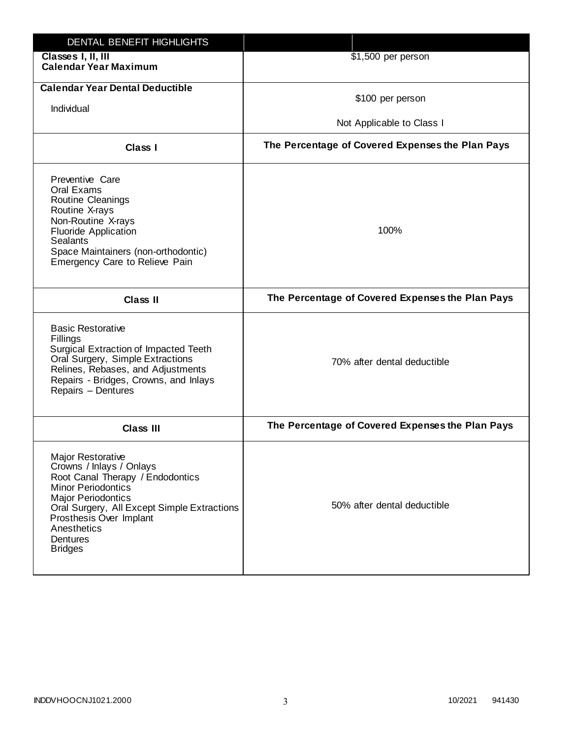| DENTAL BENEFIT HIGHLIGHTS                                                                                                                                                                                                                                          |                                                  |
|--------------------------------------------------------------------------------------------------------------------------------------------------------------------------------------------------------------------------------------------------------------------|--------------------------------------------------|
| Classes I, II, III<br><b>Calendar Year Maximum</b>                                                                                                                                                                                                                 | \$1,500 per person                               |
| <b>Calendar Year Dental Deductible</b><br>Individual                                                                                                                                                                                                               | \$100 per person<br>Not Applicable to Class I    |
| Class I                                                                                                                                                                                                                                                            | The Percentage of Covered Expenses the Plan Pays |
| Preventive Care<br>Oral Exams<br>Routine Cleanings<br>Routine X-rays<br>Non-Routine X-rays<br><b>Fluoride Application</b><br><b>Sealants</b><br>Space Maintainers (non-orthodontic)<br>Emergency Care to Relieve Pain                                              | 100%                                             |
| <b>Class II</b>                                                                                                                                                                                                                                                    | The Percentage of Covered Expenses the Plan Pays |
| <b>Basic Restorative</b><br>Fillings<br>Surgical Extraction of Impacted Teeth<br>Oral Surgery, Simple Extractions<br>Relines, Rebases, and Adjustments<br>Repairs - Bridges, Crowns, and Inlays<br>Repairs - Dentures                                              | 70% after dental deductible                      |
| <b>Class III</b>                                                                                                                                                                                                                                                   | The Percentage of Covered Expenses the Plan Pays |
| Major Restorative<br>Crowns / Inlays / Onlays<br>Root Canal Therapy / Endodontics<br><b>Minor Periodontics</b><br><b>Major Periodontics</b><br>Oral Surgery, All Except Simple Extractions<br>Prosthesis Over Implant<br>Anesthetics<br>Dentures<br><b>Bridges</b> | 50% after dental deductible                      |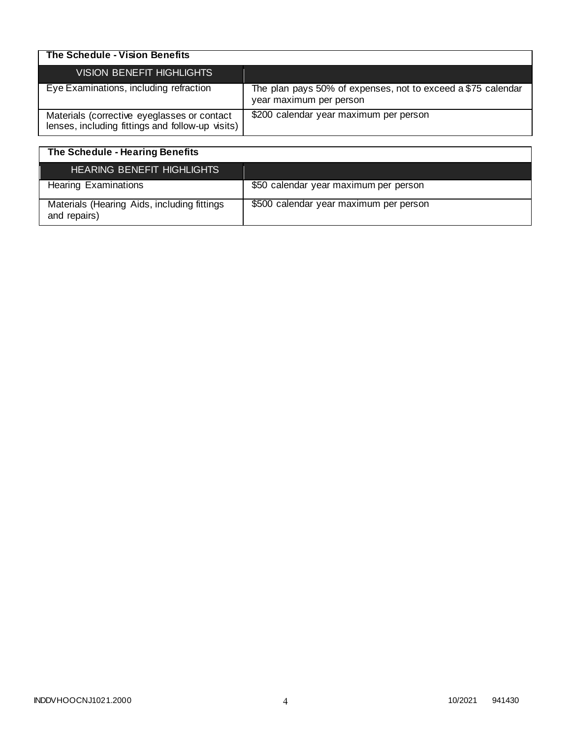| The Schedule - Vision Benefits                                                                  |                                                                                         |
|-------------------------------------------------------------------------------------------------|-----------------------------------------------------------------------------------------|
| VISION BENEFIT HIGHLIGHTS                                                                       |                                                                                         |
| Eye Examinations, including refraction                                                          | The plan pays 50% of expenses, not to exceed a \$75 calendar<br>year maximum per person |
| Materials (corrective eyeglasses or contact<br>lenses, including fittings and follow-up visits) | \$200 calendar year maximum per person                                                  |

| The Schedule - Hearing Benefits                             |                                        |
|-------------------------------------------------------------|----------------------------------------|
| <b>HEARING BENEFIT HIGHLIGHTS</b>                           |                                        |
| <b>Hearing Examinations</b>                                 | \$50 calendar year maximum per person  |
| Materials (Hearing Aids, including fittings<br>and repairs) | \$500 calendar year maximum per person |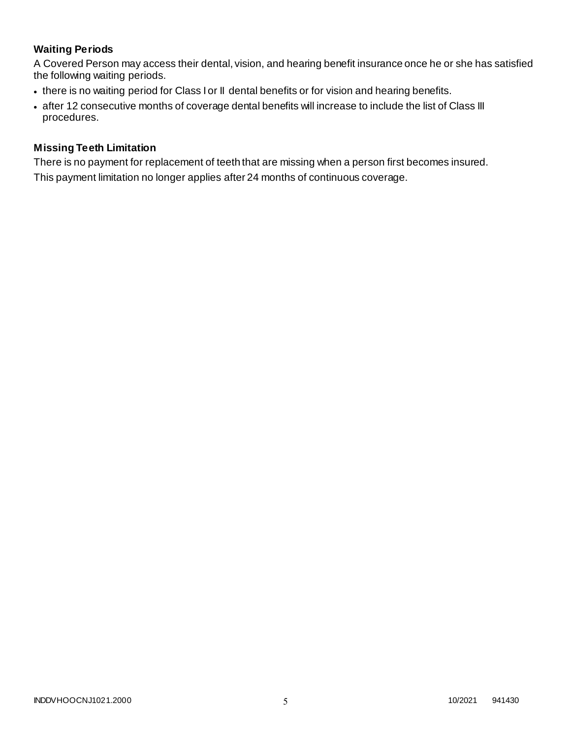# **Waiting Periods**

A Covered Person may access their dental, vision, and hearing benefit insurance once he or she has satisfied the following waiting periods.

- there is no waiting period for Class I or II dental benefits or for vision and hearing benefits.
- after 12 consecutive months of coverage dental benefits will increase to include the list of Class III procedures.

### **Missing Teeth Limitation**

There is no payment for replacement of teeth that are missing when a person first becomes insured. This payment limitation no longer applies after 24 months of continuous coverage.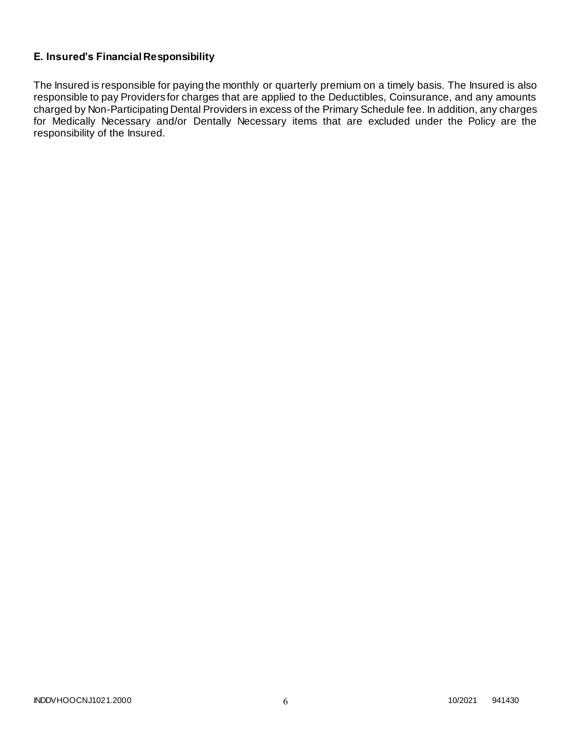# **E. Insured's Financial Responsibility**

The Insured is responsible for paying the monthly or quarterly premium on a timely basis. The Insured is also responsible to pay Providers for charges that are applied to the Deductibles, Coinsurance, and any amounts charged by Non-Participating Dental Providers in excess of the Primary Schedule fee. In addition, any charges for Medically Necessary and/or Dentally Necessary items that are excluded under the Policy are the responsibility of the Insured.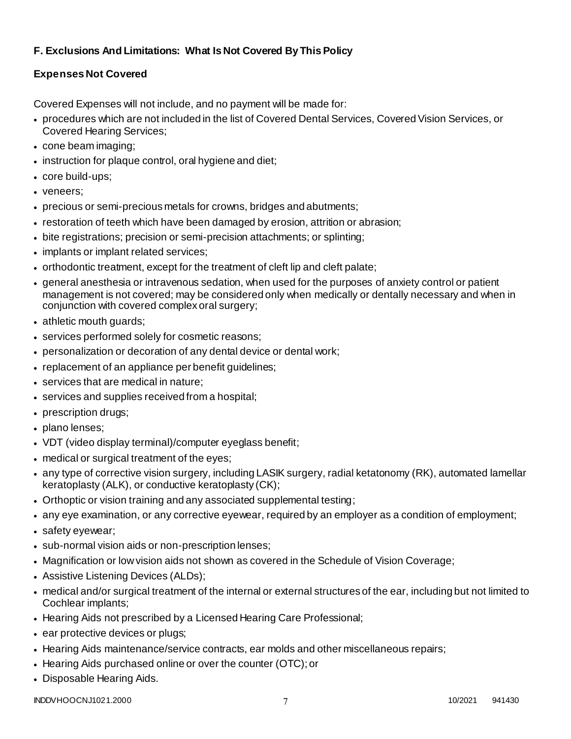# **F. Exclusions And Limitations: What Is Not Covered By This Policy**

# **Expenses Not Covered**

Covered Expenses will not include, and no payment will be made for:

- procedures which are not included in the list of Covered Dental Services, Covered Vision Services, or Covered Hearing Services;
- cone beam imaging;
- instruction for plaque control, oral hygiene and diet;
- core build-ups;
- veneers;
- precious or semi-precious metals for crowns, bridges and abutments;
- restoration of teeth which have been damaged by erosion, attrition or abrasion;
- bite registrations; precision or semi-precision attachments; or splinting;
- implants or implant related services;
- orthodontic treatment, except for the treatment of cleft lip and cleft palate;
- general anesthesia or intravenous sedation, when used for the purposes of anxiety control or patient management is not covered; may be considered only when medically or dentally necessary and when in conjunction with covered complex oral surgery;
- athletic mouth guards;
- services performed solely for cosmetic reasons;
- personalization or decoration of any dental device or dental work;
- replacement of an appliance per benefit guidelines;
- services that are medical in nature:
- services and supplies received from a hospital;
- prescription drugs;
- plano lenses:
- VDT (video display terminal)/computer eyeglass benefit;
- medical or surgical treatment of the eyes;
- any type of corrective vision surgery, including LASIK surgery, radial ketatonomy (RK), automated lamellar keratoplasty (ALK), or conductive keratoplasty (CK);
- Orthoptic or vision training and any associated supplemental testing;
- any eye examination, or any corrective eyewear, required by an employer as a condition of employment;
- safety eyewear;
- sub-normal vision aids or non-prescription lenses;
- Magnification or low vision aids not shown as covered in the Schedule of Vision Coverage;
- Assistive Listening Devices (ALDs);
- medical and/or surgical treatment of the internal or external structures of the ear, including but not limited to Cochlear implants;
- Hearing Aids not prescribed by a Licensed Hearing Care Professional;
- ear protective devices or plugs;
- Hearing Aids maintenance/service contracts, ear molds and other miscellaneous repairs;
- Hearing Aids purchased online or over the counter (OTC); or
- Disposable Hearing Aids.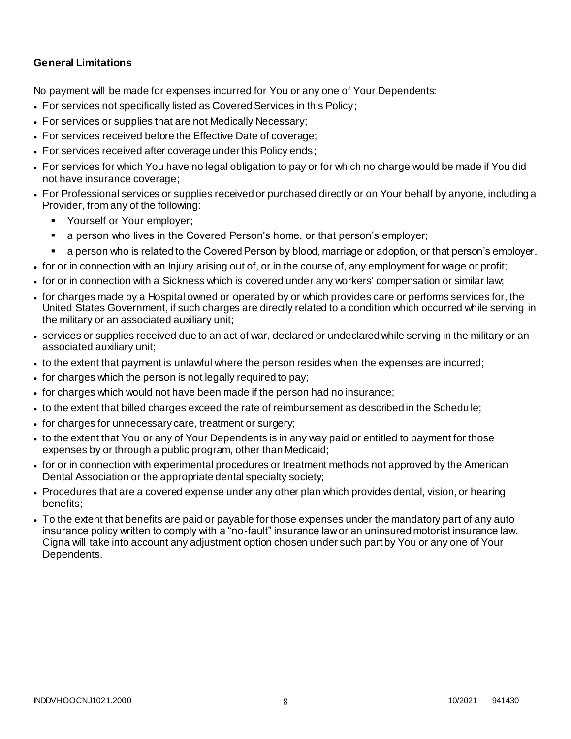### **General Limitations**

No payment will be made for expenses incurred for You or any one of Your Dependents:

- For services not specifically listed as Covered Services in this Policy;
- For services or supplies that are not Medically Necessary;
- For services received before the Effective Date of coverage;
- For services received after coverage under this Policy ends;
- For services for which You have no legal obligation to pay or for which no charge would be made if You did not have insurance coverage;
- For Professional services or supplies received or purchased directly or on Your behalf by anyone, including a Provider, from any of the following:
	- **Yourself or Your employer;**
	- a person who lives in the Covered Person's home, or that person's employer;
	- a person who is related to the Covered Person by blood, marriage or adoption, or that person's employer.
- for or in connection with an Injury arising out of, or in the course of, any employment for wage or profit;
- for or in connection with a Sickness which is covered under any workers' compensation or similar law;
- for charges made by a Hospital owned or operated by or which provides care or performs services for, the United States Government, if such charges are directly related to a condition which occurred while serving in the military or an associated auxiliary unit;
- services or supplies received due to an act of war, declared or undeclared while serving in the military or an associated auxiliary unit;
- to the extent that payment is unlawful where the person resides when the expenses are incurred;
- for charges which the person is not legally required to pay;
- for charges which would not have been made if the person had no insurance;
- to the extent that billed charges exceed the rate of reimbursement as described in the Schedu le;
- for charges for unnecessary care, treatment or surgery;
- to the extent that You or any of Your Dependents is in any way paid or entitled to payment for those expenses by or through a public program, other than Medicaid;
- for or in connection with experimental procedures or treatment methods not approved by the American Dental Association or the appropriate dental specialty society;
- Procedures that are a covered expense under any other plan which provides dental, vision, or hearing benefits;
- To the extent that benefits are paid or payable for those expenses under the mandatory part of any auto insurance policy written to comply with a "no-fault" insurance law or an uninsured motorist insurance law. Cigna will take into account any adjustment option chosen under such part by You or any one of Your Dependents.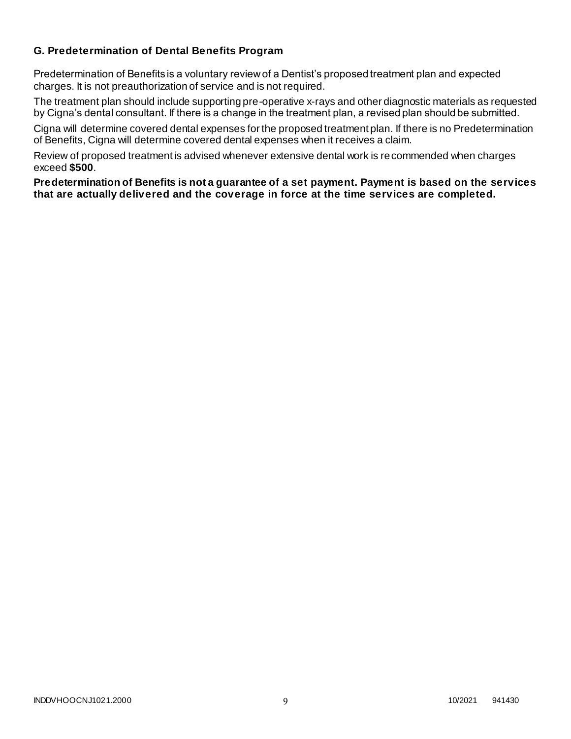### **G. Predetermination of Dental Benefits Program**

Predetermination of Benefits is a voluntary review of a Dentist's proposed treatment plan and expected charges. It is not preauthorization of service and is not required.

The treatment plan should include supporting pre-operative x-rays and other diagnostic materials as requested by Cigna's dental consultant. If there is a change in the treatment plan, a revised plan should be submitted.

Cigna will determine covered dental expenses for the proposed treatment plan. If there is no Predetermination of Benefits, Cigna will determine covered dental expenses when it receives a claim.

Review of proposed treatment is advised whenever extensive dental work is recommended when charges exceed **\$500**.

**Predetermination of Benefits is not a guarantee of a set payment. Payment is based on the services that are actually delivered and the coverage in force at the time services are completed.**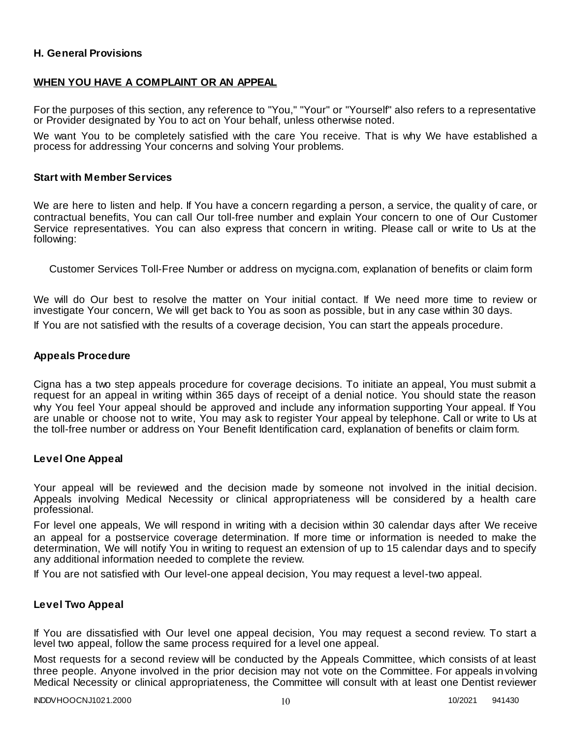### **H. General Provisions**

### **WHEN YOU HAVE A COMPLAINT OR AN APPEAL**

For the purposes of this section, any reference to "You," "Your" or "Yourself" also refers to a representative or Provider designated by You to act on Your behalf, unless otherwise noted.

We want You to be completely satisfied with the care You receive. That is why We have established a process for addressing Your concerns and solving Your problems.

#### **Start with Member Services**

We are here to listen and help. If You have a concern regarding a person, a service, the quality of care, or contractual benefits, You can call Our toll-free number and explain Your concern to one of Our Customer Service representatives. You can also express that concern in writing. Please call or write to Us at the following:

Customer Services Toll-Free Number or address on mycigna.com, explanation of benefits or claim form

We will do Our best to resolve the matter on Your initial contact. If We need more time to review or investigate Your concern, We will get back to You as soon as possible, but in any case within 30 days.

If You are not satisfied with the results of a coverage decision, You can start the appeals procedure.

#### **Appeals Procedure**

Cigna has a two step appeals procedure for coverage decisions. To initiate an appeal, You must submit a request for an appeal in writing within 365 days of receipt of a denial notice. You should state the reason why You feel Your appeal should be approved and include any information supporting Your appeal. If You are unable or choose not to write, You may ask to register Your appeal by telephone. Call or write to Us at the toll-free number or address on Your Benefit Identification card, explanation of benefits or claim form.

#### **Level One Appeal**

Your appeal will be reviewed and the decision made by someone not involved in the initial decision. Appeals involving Medical Necessity or clinical appropriateness will be considered by a health care professional.

For level one appeals, We will respond in writing with a decision within 30 calendar days after We receive an appeal for a postservice coverage determination. If more time or information is needed to make the determination, We will notify You in writing to request an extension of up to 15 calendar days and to specify any additional information needed to complete the review.

If You are not satisfied with Our level-one appeal decision, You may request a level-two appeal.

#### **Level Two Appeal**

If You are dissatisfied with Our level one appeal decision, You may request a second review. To start a level two appeal, follow the same process required for a level one appeal.

Most requests for a second review will be conducted by the Appeals Committee, which consists of at least three people. Anyone involved in the prior decision may not vote on the Committee. For appeals involving Medical Necessity or clinical appropriateness, the Committee will consult with at least one Dentist reviewer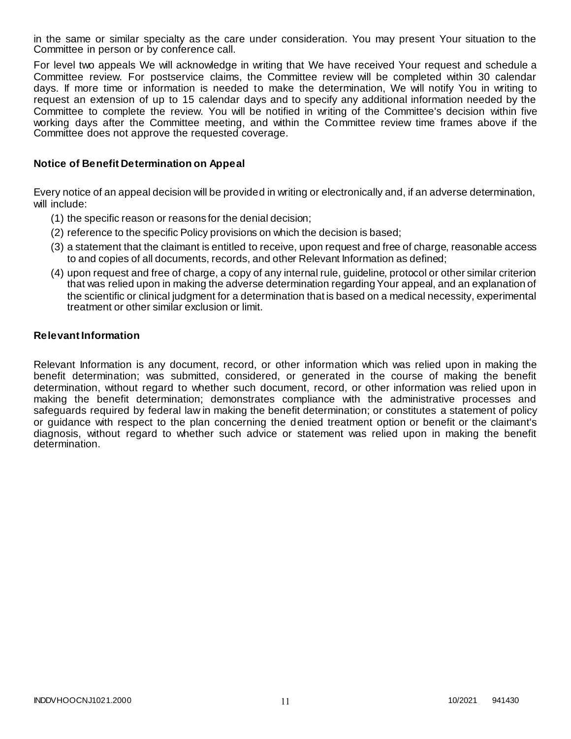in the same or similar specialty as the care under consideration. You may present Your situation to the Committee in person or by conference call.

For level two appeals We will acknowledge in writing that We have received Your request and schedule a Committee review. For postservice claims, the Committee review will be completed within 30 calendar days. If more time or information is needed to make the determination, We will notify You in writing to request an extension of up to 15 calendar days and to specify any additional information needed by the Committee to complete the review. You will be notified in writing of the Committee's decision within five working days after the Committee meeting, and within the Committee review time frames above if the Committee does not approve the requested coverage.

### **Notice of Benefit Determination on Appeal**

Every notice of an appeal decision will be provided in writing or electronically and, if an adverse determination, will include:

- (1) the specific reason or reasons for the denial decision;
- (2) reference to the specific Policy provisions on which the decision is based;
- (3) a statement that the claimant is entitled to receive, upon request and free of charge, reasonable access to and copies of all documents, records, and other Relevant Information as defined;
- (4) upon request and free of charge, a copy of any internal rule, guideline, protocol or other similar criterion that was relied upon in making the adverse determination regarding Your appeal, and an explanation of the scientific or clinical judgment for a determination that is based on a medical necessity, experimental treatment or other similar exclusion or limit.

#### **Relevant Information**

Relevant Information is any document, record, or other information which was relied upon in making the benefit determination; was submitted, considered, or generated in the course of making the benefit determination, without regard to whether such document, record, or other information was relied upon in making the benefit determination; demonstrates compliance with the administrative processes and safeguards required by federal law in making the benefit determination; or constitutes a statement of policy or guidance with respect to the plan concerning the denied treatment option or benefit or the claimant's diagnosis, without regard to whether such advice or statement was relied upon in making the benefit determination.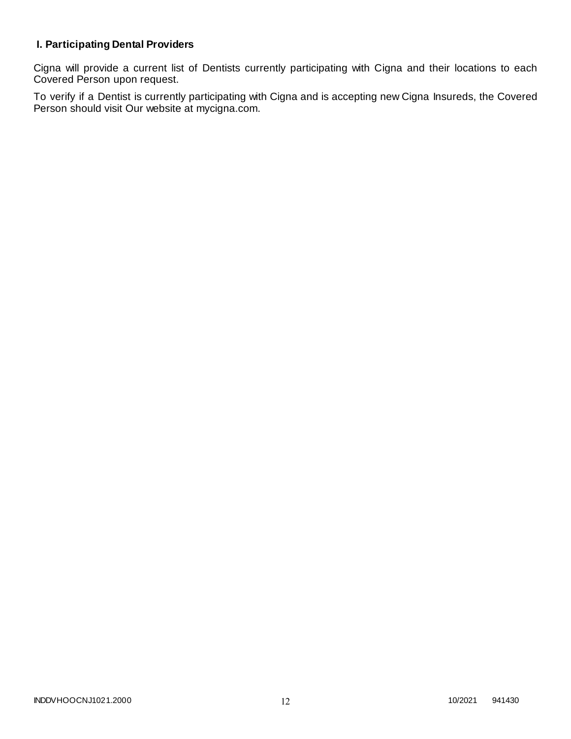# **I. Participating Dental Providers**

Cigna will provide a current list of Dentists currently participating with Cigna and their locations to each Covered Person upon request.

To verify if a Dentist is currently participating with Cigna and is accepting new Cigna Insureds, the Covered Person should visit Our website at mycigna.com.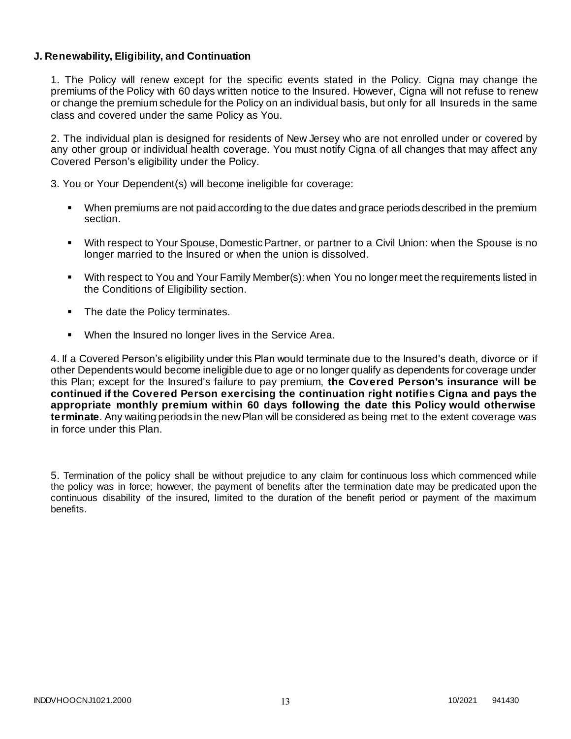### **J. Renewability, Eligibility, and Continuation**

1. The Policy will renew except for the specific events stated in the Policy. Cigna may change the premiums of the Policy with 60 days written notice to the Insured. However, Cigna will not refuse to renew or change the premium schedule for the Policy on an individual basis, but only for all Insureds in the same class and covered under the same Policy as You.

2. The individual plan is designed for residents of New Jersey who are not enrolled under or covered by any other group or individual health coverage. You must notify Cigna of all changes that may affect any Covered Person's eligibility under the Policy.

3. You or Your Dependent(s) will become ineligible for coverage:

- When premiums are not paid according to the due dates and grace periods described in the premium section.
- With respect to Your Spouse, Domestic Partner, or partner to a Civil Union: when the Spouse is no longer married to the Insured or when the union is dissolved.
- With respect to You and Your Family Member(s): when You no longer meet the requirements listed in the Conditions of Eligibility section.
- The date the Policy terminates.
- When the Insured no longer lives in the Service Area.

4. If a Covered Person's eligibility under this Plan would terminate due to the Insured's death, divorce or if other Dependents would become ineligible due to age or no longer qualify as dependents for coverage under this Plan; except for the Insured's failure to pay premium, **the Covered Person's insurance will be continued if the Covered Person exercising the continuation right notifies Cigna and pays the appropriate monthly premium within 60 days following the date this Policy would otherwise terminate**. Any waiting periods in the new Plan will be considered as being met to the extent coverage was in force under this Plan.

5. Termination of the policy shall be without prejudice to any claim for continuous loss which commenced while the policy was in force; however, the payment of benefits after the termination date may be predicated upon the continuous disability of the insured, limited to the duration of the benefit period or payment of the maximum benefits.